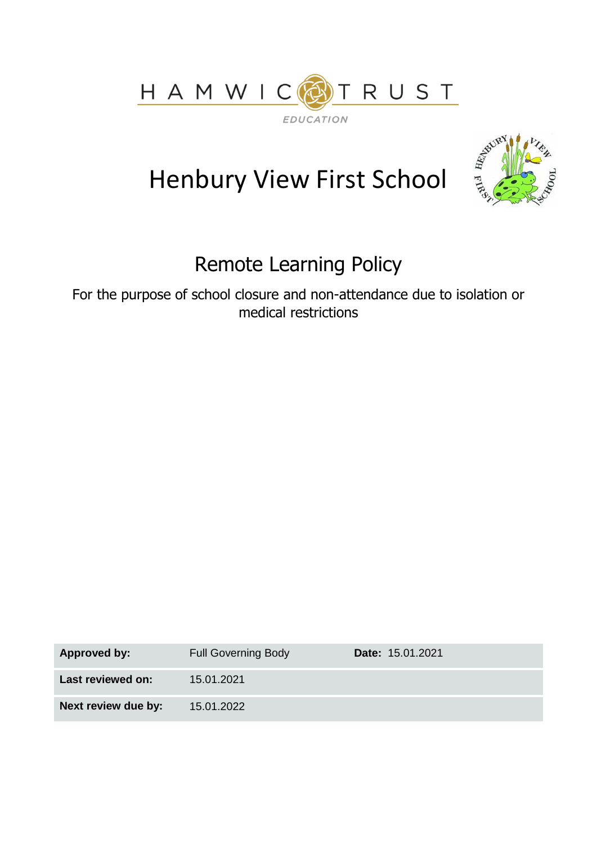



# Henbury View First School

## Remote Learning Policy

For the purpose of school closure and non-attendance due to isolation or medical restrictions

| <b>Approved by:</b> | <b>Full Governing Body</b> | <b>Date: 15.01.2021</b> |
|---------------------|----------------------------|-------------------------|
| Last reviewed on:   | 15.01.2021                 |                         |
| Next review due by: | 15.01.2022                 |                         |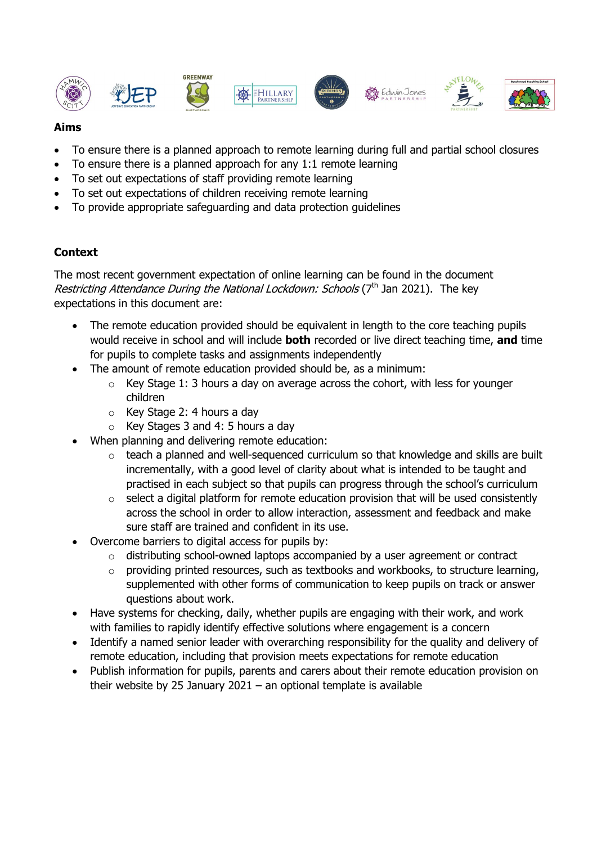













#### **Aims**

- To ensure there is a planned approach to remote learning during full and partial school closures
- To ensure there is a planned approach for any 1:1 remote learning
- To set out expectations of staff providing remote learning
- To set out expectations of children receiving remote learning
- To provide appropriate safeguarding and data protection guidelines

#### **Context**

The most recent government expectation of online learning can be found in the document Restricting Attendance During the National Lockdown: Schools (7<sup>th</sup> Jan 2021). The kev expectations in this document are:

- The remote education provided should be equivalent in length to the core teaching pupils would receive in school and will include **both** recorded or live direct teaching time, **and** time for pupils to complete tasks and assignments independently
- The amount of remote education provided should be, as a minimum:
	- o Key Stage 1: 3 hours a day on average across the cohort, with less for younger children
	- o Key Stage 2: 4 hours a day
	- $\circ$  Key Stages 3 and 4: 5 hours a day
- When planning and delivering remote education:
	- o teach a planned and well-sequenced curriculum so that knowledge and skills are built incrementally, with a good level of clarity about what is intended to be taught and practised in each subject so that pupils can progress through the school's curriculum
	- o select a digital platform for remote education provision that will be used consistently across the school in order to allow interaction, assessment and feedback and make sure staff are trained and confident in its use.
- Overcome barriers to digital access for pupils by:
	- o distributing school-owned laptops accompanied by a user agreement or contract
	- o providing printed resources, such as textbooks and workbooks, to structure learning, supplemented with other forms of communication to keep pupils on track or answer questions about work.
- Have systems for checking, daily, whether pupils are engaging with their work, and work with families to rapidly identify effective solutions where engagement is a concern
- Identify a named senior leader with overarching responsibility for the quality and delivery of remote education, including that provision meets expectations for remote education
- Publish information for pupils, parents and carers about their remote education provision on their website by 25 January 2021 – an optional template is available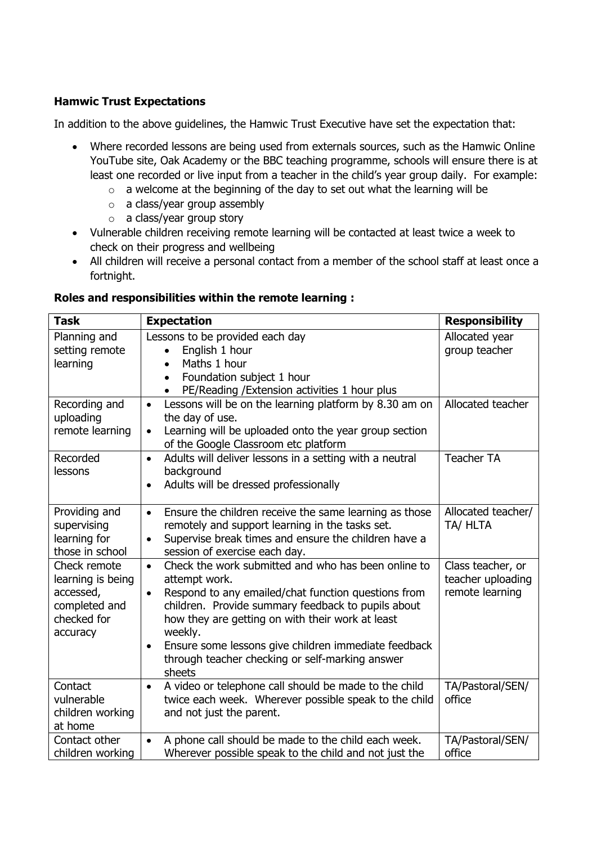#### **Hamwic Trust Expectations**

In addition to the above guidelines, the Hamwic Trust Executive have set the expectation that:

- Where recorded lessons are being used from externals sources, such as the Hamwic Online YouTube site, Oak Academy or the BBC teaching programme, schools will ensure there is at least one recorded or live input from a teacher in the child's year group daily. For example:
	- o a welcome at the beginning of the day to set out what the learning will be
	- o a class/year group assembly
	- o a class/year group story
- Vulnerable children receiving remote learning will be contacted at least twice a week to check on their progress and wellbeing
- All children will receive a personal contact from a member of the school staff at least once a fortnight.

#### **Roles and responsibilities within the remote learning :**

| <b>Task</b>                  | <b>Expectation</b>                                                                                         | <b>Responsibility</b> |
|------------------------------|------------------------------------------------------------------------------------------------------------|-----------------------|
| Planning and                 | Lessons to be provided each day                                                                            | Allocated year        |
| setting remote               | English 1 hour<br>$\bullet$                                                                                | group teacher         |
| learning                     | Maths 1 hour<br>$\bullet$                                                                                  |                       |
|                              | Foundation subject 1 hour<br>$\bullet$                                                                     |                       |
|                              | PE/Reading / Extension activities 1 hour plus                                                              |                       |
| Recording and                | Lessons will be on the learning platform by 8.30 am on<br>$\bullet$                                        | Allocated teacher     |
| uploading<br>remote learning | the day of use.                                                                                            |                       |
|                              | Learning will be uploaded onto the year group section<br>$\bullet$<br>of the Google Classroom etc platform |                       |
| Recorded                     | Adults will deliver lessons in a setting with a neutral<br>$\bullet$                                       | <b>Teacher TA</b>     |
| lessons                      | background                                                                                                 |                       |
|                              | Adults will be dressed professionally<br>$\bullet$                                                         |                       |
|                              |                                                                                                            |                       |
| Providing and                | Ensure the children receive the same learning as those<br>$\bullet$                                        | Allocated teacher/    |
| supervising                  | remotely and support learning in the tasks set.                                                            | TA/ HLTA              |
| learning for                 | Supervise break times and ensure the children have a                                                       |                       |
| those in school              | session of exercise each day.                                                                              |                       |
| Check remote                 | Check the work submitted and who has been online to<br>$\bullet$                                           | Class teacher, or     |
| learning is being            | attempt work.                                                                                              | teacher uploading     |
| accessed,                    | Respond to any emailed/chat function questions from                                                        | remote learning       |
| completed and<br>checked for | children. Provide summary feedback to pupils about<br>how they are getting on with their work at least     |                       |
| accuracy                     | weekly.                                                                                                    |                       |
|                              | Ensure some lessons give children immediate feedback<br>$\bullet$                                          |                       |
|                              | through teacher checking or self-marking answer                                                            |                       |
|                              | sheets                                                                                                     |                       |
| Contact                      | A video or telephone call should be made to the child<br>$\bullet$                                         | TA/Pastoral/SEN/      |
| vulnerable                   | twice each week. Wherever possible speak to the child                                                      | office                |
| children working             | and not just the parent.                                                                                   |                       |
| at home                      |                                                                                                            |                       |
| Contact other                | A phone call should be made to the child each week.<br>$\bullet$                                           | TA/Pastoral/SEN/      |
| children working             | Wherever possible speak to the child and not just the                                                      | office                |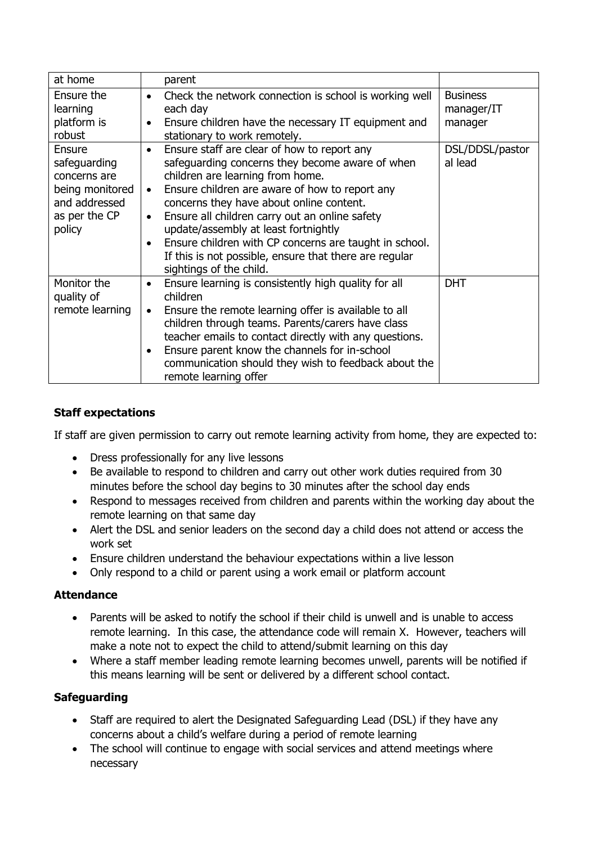| at home                                                                                               | parent                                                                                                                                                                                                                                                                                                                                                                                                                                                                                                           |                                          |
|-------------------------------------------------------------------------------------------------------|------------------------------------------------------------------------------------------------------------------------------------------------------------------------------------------------------------------------------------------------------------------------------------------------------------------------------------------------------------------------------------------------------------------------------------------------------------------------------------------------------------------|------------------------------------------|
| Ensure the<br>learning<br>platform is<br>robust                                                       | Check the network connection is school is working well<br>$\bullet$<br>each day<br>Ensure children have the necessary IT equipment and<br>$\bullet$<br>stationary to work remotely.                                                                                                                                                                                                                                                                                                                              | <b>Business</b><br>manager/IT<br>manager |
| Ensure<br>safeguarding<br>concerns are<br>being monitored<br>and addressed<br>as per the CP<br>policy | Ensure staff are clear of how to report any<br>$\bullet$<br>safeguarding concerns they become aware of when<br>children are learning from home.<br>Ensure children are aware of how to report any<br>$\bullet$<br>concerns they have about online content.<br>Ensure all children carry out an online safety<br>$\bullet$<br>update/assembly at least fortnightly<br>Ensure children with CP concerns are taught in school.<br>If this is not possible, ensure that there are regular<br>sightings of the child. | DSL/DDSL/pastor<br>al lead               |
| Monitor the<br>quality of<br>remote learning                                                          | Ensure learning is consistently high quality for all<br>$\bullet$<br>children<br>Ensure the remote learning offer is available to all<br>$\bullet$<br>children through teams. Parents/carers have class<br>teacher emails to contact directly with any questions.<br>Ensure parent know the channels for in-school<br>$\bullet$<br>communication should they wish to feedback about the<br>remote learning offer                                                                                                 | <b>DHT</b>                               |

#### **Staff expectations**

If staff are given permission to carry out remote learning activity from home, they are expected to:

- Dress professionally for any live lessons
- Be available to respond to children and carry out other work duties required from 30 minutes before the school day begins to 30 minutes after the school day ends
- Respond to messages received from children and parents within the working day about the remote learning on that same day
- Alert the DSL and senior leaders on the second day a child does not attend or access the work set
- Ensure children understand the behaviour expectations within a live lesson
- Only respond to a child or parent using a work email or platform account

#### **Attendance**

- Parents will be asked to notify the school if their child is unwell and is unable to access remote learning. In this case, the attendance code will remain X. However, teachers will make a note not to expect the child to attend/submit learning on this day
- Where a staff member leading remote learning becomes unwell, parents will be notified if this means learning will be sent or delivered by a different school contact.

#### **Safeguarding**

- Staff are required to alert the Designated Safeguarding Lead (DSL) if they have any concerns about a child's welfare during a period of remote learning
- The school will continue to engage with social services and attend meetings where necessary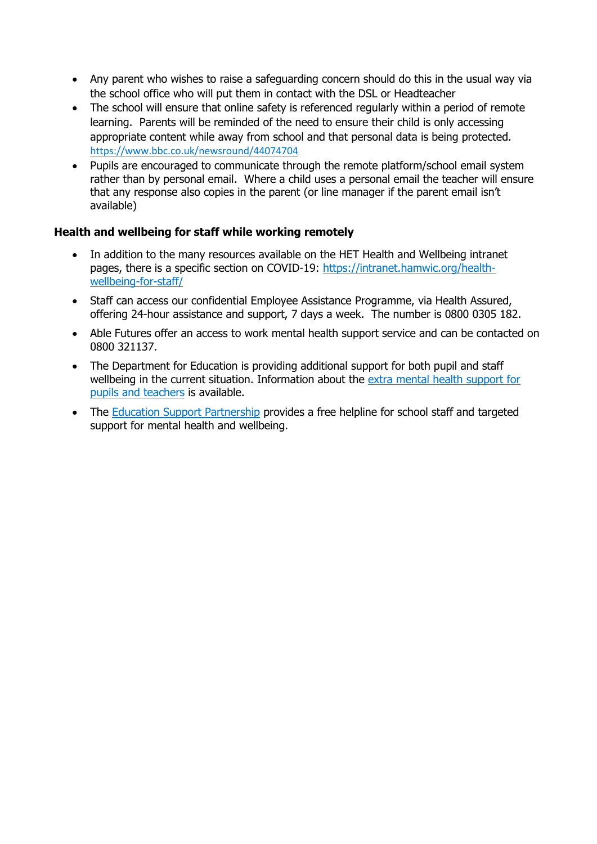- Any parent who wishes to raise a safeguarding concern should do this in the usual way via the school office who will put them in contact with the DSL or Headteacher
- The school will ensure that online safety is referenced regularly within a period of remote learning. Parents will be reminded of the need to ensure their child is only accessing appropriate content while away from school and that personal data is being protected. <https://www.bbc.co.uk/newsround/44074704>
- Pupils are encouraged to communicate through the remote platform/school email system rather than by personal email. Where a child uses a personal email the teacher will ensure that any response also copies in the parent (or line manager if the parent email isn't available)

#### **Health and wellbeing for staff while working remotely**

- In addition to the many resources available on the HET Health and Wellbeing intranet pages, there is a specific section on COVID-19: [https://intranet.hamwic.org/health](https://intranet.hamwic.org/health-wellbeing-for-staff/)[wellbeing-for-staff/](https://intranet.hamwic.org/health-wellbeing-for-staff/)
- Staff can access our confidential Employee Assistance Programme, via Health Assured, offering 24-hour assistance and support, 7 days a week. The number is 0800 0305 182.
- Able Futures offer an access to work mental health support service and can be contacted on 0800 321137.
- The Department for Education is providing additional support for both pupil and staff wellbeing in the current situation. Information about the extra mental health [support](https://www.gov.uk/government/news/extra-mental-health-support-for-pupils-and-teachers) for pupils and [teachers](https://www.gov.uk/government/news/extra-mental-health-support-for-pupils-and-teachers) is available.
- The Education Support [Partnership](http://www.educationsupport.org.uk/) provides a free helpline for school staff and targeted support for mental health and wellbeing.